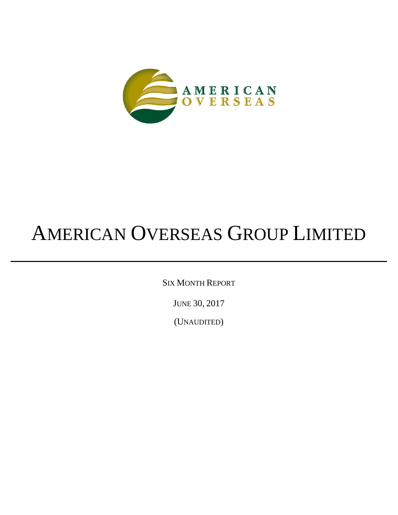

SIX MONTH REPORT

JUNE 30, 2017

(UNAUDITED)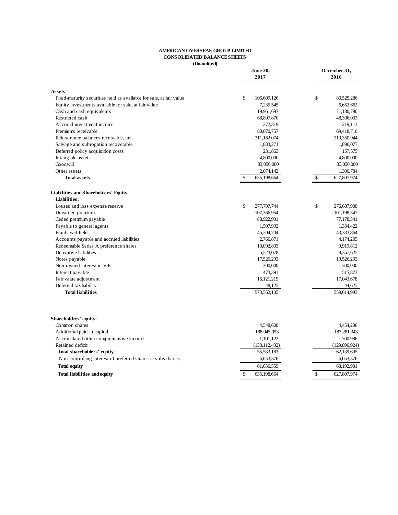# **AMERICAN OVERSEAS GROUP LIMITED CONSOLIDATED BALANCE SHEETS**

**(Unaudited)**

| June 30,<br>2017                                                    |                   | December 31,<br>2016 |  |
|---------------------------------------------------------------------|-------------------|----------------------|--|
| <b>Assets</b>                                                       |                   |                      |  |
| Fixed-maturity securities held as available for sale, at fair value | \$<br>105,609,126 | \$<br>80,525,286     |  |
| Equity investments available for sale, at fair value                | 7,235,545         | 6,652,662            |  |
| Cash and cash equivalents                                           | 19,961,697        | 71,130,790           |  |
| Restricted cash                                                     | 68,897,870        | 48,306,033           |  |
| Accrued investment income                                           | 272,319           | 219,113              |  |
| Premiums receivable                                                 | 80,070,757        | 69,418,710           |  |
| Reinsurance balances receivable, net                                | 311,162,074       | 310,350,944          |  |
| Salvage and subrogation recoverable                                 | 1,833,271         | 1,896,077            |  |
| Deferred policy acquisition costs                                   | 231,863           | 157,575              |  |
| Intangible assets                                                   | 4,800,000         | 4,800,000            |  |
| Goodwill                                                            | 33,050,000        | 33,050,000           |  |
| Other assets                                                        | 2,074,142         | 1,300,784            |  |
| Total assets                                                        | \$<br>635,198,664 | \$<br>627,807,974    |  |
| Liabilities and Shareholders' Equity                                |                   |                      |  |
| Liabilities:                                                        |                   |                      |  |
| Losses and loss expense reserve                                     | \$<br>277,707,744 | \$<br>276,687,908    |  |
| Unearned premiums                                                   | 107,366,954       | 101,198,347          |  |
| Ceded premium payable                                               | 88,922,931        | 77,178,341           |  |
| Payable to general agents                                           | 1,507,992         | 1,334,422            |  |
| Funds withheld                                                      | 45,204,704        | 43,333,864           |  |
| Accounts payable and accrued liabilities                            | 2,766,871         | 4,174,205            |  |
| Redeemable Series A preference shares                               | 10,092,803        | 9,919,812            |  |
| Derivative liabilities                                              | 5,523,078         | 8,357,625            |  |
| Notes payable                                                       | 17,526,293        | 19,526,293           |  |
| Non-owned interest in VIE                                           | 300,000           | 300,000              |  |
| Interest payable                                                    | 473,391           | 515,873              |  |
| Fair value adjustment                                               | 16,121,219        | 17,043,678           |  |
| Deferred tax liability                                              | 48,125            | 44,625               |  |
| <b>Total liabilities</b>                                            | 573,562,105       | 559,614,993          |  |
|                                                                     |                   |                      |  |
| Shareholders' equity:                                               |                   |                      |  |
| Common shares                                                       | 4,548,600         | 4,454,200            |  |
| Additional paid-in capital                                          | 188,045,953       | 187,281,343          |  |
| Accumulated other comprehensive income                              | 1,101,122         | 300,986              |  |
| Retained deficit                                                    | (138, 112, 492)   | (129, 896, 924)      |  |
| Total shareholders' equity                                          | 55,583,183        | 62,139,605           |  |
| Non-controlling interest of preferred shares in subsidiaries        | 6,053,376         | 6,053,376            |  |
| <b>Total equity</b>                                                 | 61,636,559        | 68,192,981           |  |
| <b>Total liabilities and equity</b>                                 | \$<br>635,198,664 | \$<br>627,807,974    |  |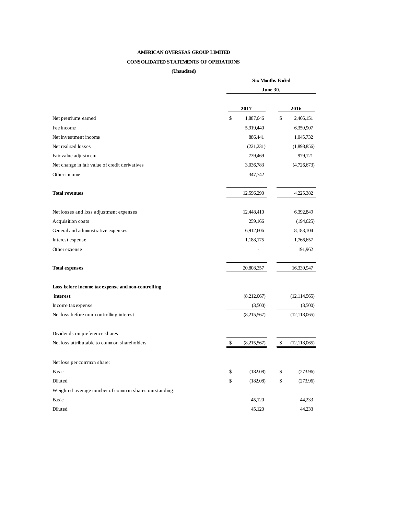# **CONSOLIDATED STATEMENTS OF OPERATIONS**

**(Unaudited)**

|                                                       | <b>Six Months Ended</b> |             |    |                |
|-------------------------------------------------------|-------------------------|-------------|----|----------------|
|                                                       | <b>June 30,</b>         |             |    |                |
|                                                       |                         |             |    |                |
|                                                       |                         | 2017        |    | 2016           |
| Net premiums earned                                   | \$                      | 1,887,646   | \$ | 2,466,151      |
| Fee income                                            |                         | 5,919,440   |    | 6,359,907      |
| Net investment income                                 |                         | 886,441     |    | 1,045,732      |
| Net realized losses                                   |                         | (221, 231)  |    | (1,898,856)    |
| Fair value adjustment                                 |                         | 739,469     |    | 979,121        |
| Net change in fair value of credit derivatives        |                         | 3,036,783   |    | (4,726,673)    |
| Other income                                          |                         | 347,742     |    |                |
| <b>Total revenues</b>                                 |                         | 12,596,290  |    | 4,225,382      |
| Net losses and loss adjustment expenses               |                         | 12,448,410  |    | 6,392,849      |
| Acquisition costs                                     |                         | 259,166     |    | (194, 625)     |
| General and administrative expenses                   |                         | 6,912,606   |    | 8,183,104      |
| Interest expense                                      |                         | 1,188,175   |    | 1,766,657      |
| Other expense                                         |                         |             |    | 191,962        |
| <b>Total expenses</b>                                 |                         | 20,808,357  |    | 16,339,947     |
| Loss before income tax expense and non-controlling    |                         |             |    |                |
| interest                                              |                         | (8,212,067) |    | (12, 114, 565) |
| Income tax expense                                    |                         | (3,500)     |    | (3,500)        |
| Net loss before non-controlling interest              |                         | (8,215,567) |    | (12, 118, 065) |
| Dividends on preference shares                        |                         |             |    |                |
| Net loss attributable to common shareholders          | \$                      | (8,215,567) | \$ | (12, 118, 065) |
| Net loss per common share:                            |                         |             |    |                |
| Basic                                                 | \$                      | (182.08)    | \$ | (273.96)       |
| Diluted                                               | \$                      | (182.08)    | \$ | (273.96)       |
| Weighted-average number of common shares outstanding: |                         |             |    |                |
| Basic                                                 |                         | 45,120      |    | 44,233         |
| Diluted                                               |                         | 45,120      |    | 44,233         |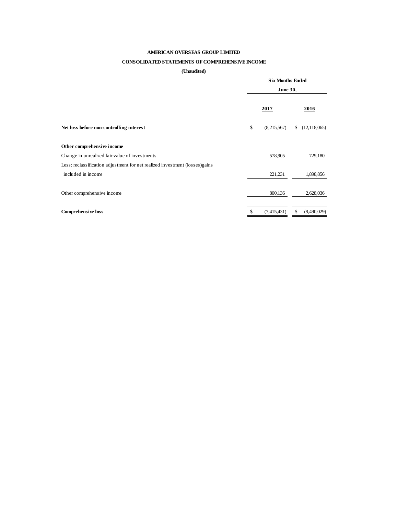# **CONSOLIDATED STATEMENTS OF COMPREHENSIVE INCOME**

#### **(Unaudited)**

|                                                                             | <b>Six Months Ended</b><br><b>June 30,</b> |    |                |
|-----------------------------------------------------------------------------|--------------------------------------------|----|----------------|
|                                                                             | 2017                                       |    | 2016           |
| Net loss before non-controlling interest                                    | \$<br>(8,215,567)                          | \$ | (12, 118, 065) |
| Other comprehensive income                                                  |                                            |    |                |
| Change in unrealized fair value of investments                              | 578,905                                    |    | 729,180        |
| Less: reclassification adjustment for net realized investment (losses)gains |                                            |    |                |
| included in income                                                          | 221,231                                    |    | 1,898,856      |
|                                                                             |                                            |    |                |
| Other comprehensive income                                                  | 800,136                                    |    | 2,628,036      |
|                                                                             |                                            |    |                |
| <b>Comprehensive loss</b>                                                   | \$<br>(7,415,431)                          | \$ | (9,490,029)    |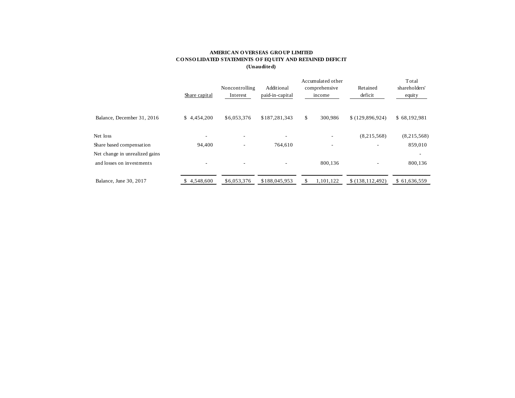## **AMERICAN O VERSEAS GRO UP LIMITED CO NSO LIDATED STATEMENTS O F EQ UITY AND RETAINED DEFICIT (Unaudited)**

|                                | Share capital | Noncontrolling<br>Additional<br>paid-in-capital<br>Interest |                          | Accumulated other<br>comprehensive<br>income |                          | Retained<br>deficit | Total<br>shareholders'<br>equity |  |
|--------------------------------|---------------|-------------------------------------------------------------|--------------------------|----------------------------------------------|--------------------------|---------------------|----------------------------------|--|
| Balance, December 31, 2016     | \$4.454,200   | \$6,053,376                                                 | \$187,281,343            | \$                                           | 300,986                  | \$(129,896,924)     | \$68,192,981                     |  |
| Net loss                       | ٠             | $\overline{\phantom{a}}$                                    | $\overline{\phantom{a}}$ |                                              |                          | (8,215,568)         | (8,215,568)                      |  |
| Share based compensation       | 94,400        | $\overline{\phantom{a}}$                                    | 764,610                  |                                              | $\overline{\phantom{a}}$ | ۰                   | 859,010                          |  |
| Net change in unrealized gains |               |                                                             |                          |                                              |                          |                     | ٠                                |  |
| and losses on investments      | ۰             | ۰                                                           |                          |                                              | 800.136                  | ٠                   | 800,136                          |  |
| Balance, June 30, 2017         | 4,548,600     | \$6,053,376                                                 | \$188,045,953            | S                                            | 1,101,122                | \$(138, 112, 492)   | \$61,636,559                     |  |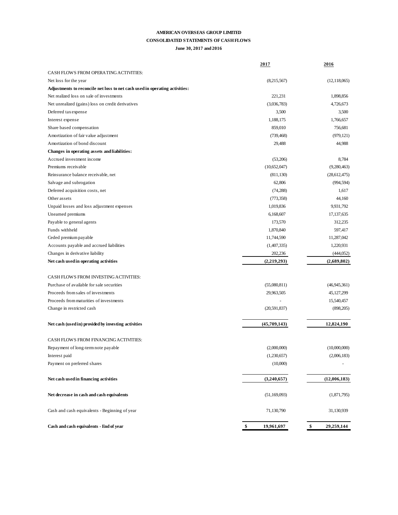#### **CONSOLIDATED STATEMENTS OF CASH FLOWS**

#### **June 30, 2017 and 2016**

|                                                                             | 2017             | 2016             |
|-----------------------------------------------------------------------------|------------------|------------------|
| CASH FLOWS FROM OPERATING ACTIVITIES:                                       |                  |                  |
| Net loss for the year                                                       | (8,215,567)      | (12, 118, 065)   |
| Adjustments to reconcile net loss to net cash used in operating activities: |                  |                  |
| Net realized loss on sale of investments                                    | 221,231          | 1,898,856        |
| Net unrealized (gains) loss on credit derivatives                           | (3,036,783)      | 4,726,673        |
| Deferred tax expense                                                        | 3,500            | 3,500            |
| Interest expense                                                            | 1,188,175        | 1,766,657        |
| Share based compensation                                                    | 859,010          | 756,681          |
| Amortization of fair value adjustment                                       | (739, 468)       | (979, 121)       |
| Amortization of bond discount                                               | 29,488           | 44,988           |
| Changes in operating assets and liabilities:                                |                  |                  |
| Accrued investment income                                                   | (53,206)         | 8,784            |
| Premiums receivable                                                         | (10,652,047)     | (9,280,463)      |
| Reinsurance balance receivable, net                                         | (811, 130)       | (28, 612, 475)   |
| Salvage and subrogation                                                     | 62,806           | (994, 594)       |
| Deferred acquisition costs, net                                             | (74, 288)        | 1,617            |
| Other assets                                                                | (773, 358)       | 44,160           |
| Unpaid losses and loss adjustment expenses                                  | 1,019,836        | 9,931,792        |
| Unearned premiums                                                           | 6,168,607        | 17,137,635       |
| Payable to general agents                                                   | 173,570          | 312,235          |
| Funds withheld                                                              | 1,870,840        | 597,417          |
| Ceded premium payable                                                       | 11,744,590       | 11,287,042       |
| Accounts payable and accrued liabilities                                    | (1,407,335)      | 1,220,931        |
| Changes in derivative liability                                             | 202,236          | (444, 052)       |
| Net cash used in operating activities                                       | (2,219,293)      | (2,689,802)      |
| CASH FLOWS FROM INVESTING ACTIVITIES:                                       |                  |                  |
| Purchase of available for sale securities                                   | (55,080,811)     | (46, 945, 361)   |
| Proceeds from sales of investments                                          | 29,963,505       | 45,127,299       |
| Proceeds from maturities of investments                                     |                  | 15,540,457       |
| Change in restricted cash                                                   | (20,591,837)     | (898, 205)       |
| Net cash (used in) provided by investing activities                         | (45,709,143)     | 12,824,190       |
| CASH FLOWS FROM FINANCING ACTIVITIES:                                       |                  |                  |
| Repayment of long-term note payable                                         | (2,000,000)      | (10,000,000)     |
| Interest paid                                                               | (1,230,657)      | (2,006,183)      |
| Payment on preferred shares                                                 | (10,000)         |                  |
|                                                                             |                  |                  |
| Net cash used in financing activities                                       | (3,240,657)      | (12,006,183)     |
| Net decrease in cash and cash equivalents                                   | (51, 169, 093)   | (1,871,795)      |
| Cash and cash equivalents - Beginning of year                               | 71,130,790       | 31,130,939       |
| Cash and cash equivalents - End of year                                     | \$<br>19,961,697 | \$<br>29,259,144 |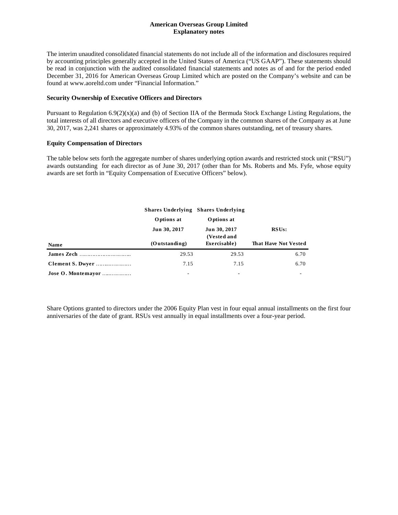## **American Overseas Group Limited Explanatory notes**

The interim unaudited consolidated financial statements do not include all of the information and disclosures required by accounting principles generally accepted in the United States of America ("US GAAP"). These statements should be read in conjunction with the audited consolidated financial statements and notes as of and for the period ended December 31, 2016 for American Overseas Group Limited which are posted on the Company's website and can be found at www.aoreltd.com under "Financial Information."

#### **Security Ownership of Executive Officers and Directors**

Pursuant to Regulation  $6.9(2)(x)(a)$  and (b) of Section IIA of the Bermuda Stock Exchange Listing Regulations, the total interests of all directors and executive officers of the Company in the common shares of the Company as at June 30, 2017, was 2,241 shares or approximately 4.93% of the common shares outstanding, net of treasury shares.

## **Equity Compensation of Directors**

The table below sets forth the aggregate number of shares underlying option awards and restricted stock unit ("RSU") awards outstanding for each director as of June 30, 2017 (other than for Ms. Roberts and Ms. Fyfe, whose equity awards are set forth in "Equity Compensation of Executive Officers" below).

|                    |               | <b>Shares Underlying Shares Underlying</b> |                             |
|--------------------|---------------|--------------------------------------------|-----------------------------|
|                    | Options at    | Options at                                 |                             |
|                    | Jun 30, 2017  | Jun 30, 2017<br>(Vested and                | RSUs:                       |
| Name               | (Outstanding) | Exercisable)                               | <b>That Have Not Vested</b> |
|                    | 29.53         | 29.53                                      | 6.70                        |
| Clement S. Dwyer   | 7.15          | 7.15                                       | 6.70                        |
| Jose O. Montemayor | ٠             | ۰                                          |                             |

Share Options granted to directors under the 2006 Equity Plan vest in four equal annual installments on the first four anniversaries of the date of grant. RSUs vest annually in equal installments over a four-year period.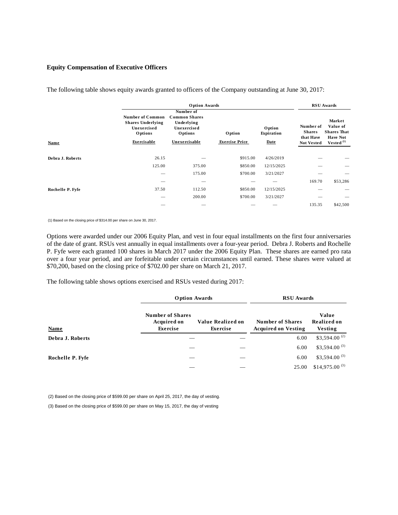#### **Equity Compensation of Executive Officers**

|                  | <b>Option Awards</b>                                                          |                                                                           |                       |                      |                                         | <b>RSU</b> Awards                                           |  |
|------------------|-------------------------------------------------------------------------------|---------------------------------------------------------------------------|-----------------------|----------------------|-----------------------------------------|-------------------------------------------------------------|--|
|                  | <b>Number of Common</b><br><b>Shares Underlying</b><br>Unexercised<br>Options | Number of<br><b>Common Shares</b><br>Underlying<br>Unexercised<br>Options | Option                | Option<br>Expiration | Number of<br><b>Shares</b><br>that Have | Market<br>Value of<br><b>Shares That</b><br><b>Have Not</b> |  |
| <b>Name</b>      | Exercisable                                                                   | Unexercisable                                                             | <b>Exercise Price</b> | Date                 | <b>Not Vested</b>                       | Vested $(1)$                                                |  |
| Debra J. Roberts | 26.15                                                                         |                                                                           | \$915.00              | 4/26/2019            |                                         |                                                             |  |
|                  | 125.00                                                                        | 375.00                                                                    | \$850.00              | 12/15/2025           |                                         |                                                             |  |
|                  |                                                                               | 175.00                                                                    | \$700.00              | 3/21/2027            |                                         |                                                             |  |
|                  | --                                                                            | -                                                                         |                       |                      | 169.70                                  | \$53,286                                                    |  |
| Rochelle P. Fyfe | 37.50                                                                         | 112.50                                                                    | \$850.00              | 12/15/2025           |                                         |                                                             |  |
|                  |                                                                               | 200.00                                                                    | \$700.00              | 3/21/2027            |                                         |                                                             |  |
|                  |                                                                               |                                                                           |                       |                      | 135.35                                  | \$42,500                                                    |  |

The following table shows equity awards granted to officers of the Company outstanding at June 30, 2017:

(1) Based on the closing price of \$314.00 per share on June 30, 2017.

Options were awarded under our 2006 Equity Plan, and vest in four equal installments on the first four anniversaries of the date of grant. RSUs vest annually in equal installments over a four-year period. Debra J. Roberts and Rochelle P. Fyfe were each granted 100 shares in March 2017 under the 2006 Equity Plan. These shares are earned pro rata over a four year period, and are forfeitable under certain circumstances until earned. These shares were valued at \$70,200, based on the closing price of \$702.00 per share on March 21, 2017.

The following table shows options exercised and RSUs vested during 2017:

|                  | <b>Option Awards</b>                                      |                               | <b>RSU</b> Awards                                     |                                 |  |
|------------------|-----------------------------------------------------------|-------------------------------|-------------------------------------------------------|---------------------------------|--|
| <b>Name</b>      | <b>Number of Shares</b><br><b>Acquired on</b><br>Exercise | Value Realized on<br>Exercise | <b>Number of Shares</b><br><b>Acquired on Vesting</b> | Value<br>Realized on<br>Vesting |  |
| Debra J. Roberts |                                                           |                               | 6.00                                                  | \$3,594.00 $^{(2)}$             |  |
|                  |                                                           |                               | 6.00                                                  | $$3,594.00$ <sup>(3)</sup>      |  |
| Rochelle P. Fyfe |                                                           |                               | 6.00                                                  | $$3,594.00$ <sup>(3)</sup>      |  |
|                  |                                                           |                               | 25.00                                                 | $$14,975.00$ <sup>(3)</sup>     |  |

(2) Based on the closing price of \$599.00 per share on April 25, 2017, the day of vesting.

(3) Based on the closing price of \$599.00 per share on May 15, 2017, the day of vesting